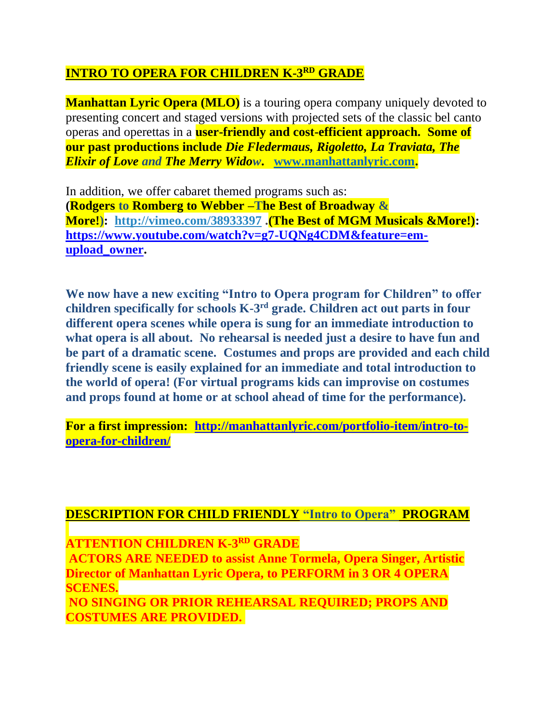## $\overline{\rm\bf INTRO~TO~OPERA~FOR~CHILDREN~K-3^{RD}~GRADE}$

**Manhattan Lyric Opera (MLO)** is a touring opera company uniquely devoted to presenting concert and staged versions with projected sets of the classic bel canto operas and operettas in a **user-friendly and cost-efficient approach. Some of our past productions include** *Die Fledermaus, Rigoletto, La Traviata, The Elixir of Love and The Merry Widow***. [www.manhattanlyric.com.](http://www.manhattanlyric.com/)** 

In addition, we offer cabaret themed programs such as: **(Rodgers to Romberg to Webber –The Best of Broadway & More!): [http://vimeo.com/38933397](http://vimeo.com/38933397?utm_source=internal&utm_medium=email&utm_content=cliptranscoded&utm_campaign=adminclip) .(The Best of MGM Musicals &More!): [https://www.youtube.com/watch?v=g7-UQNg4CDM&feature=em](https://www.youtube.com/watch?v=g7-UQNg4CDM&feature=em-upload_owner)[upload\\_owner.](https://www.youtube.com/watch?v=g7-UQNg4CDM&feature=em-upload_owner)**

**We now have a new exciting "Intro to Opera program for Children" to offer children specifically for schools K-3 rd grade. Children act out parts in four different opera scenes while opera is sung for an immediate introduction to what opera is all about. No rehearsal is needed just a desire to have fun and be part of a dramatic scene. Costumes and props are provided and each child friendly scene is easily explained for an immediate and total introduction to the world of opera! (For virtual programs kids can improvise on costumes and props found at home or at school ahead of time for the performance).**

**For a first impression: [http://manhattanlyric.com/portfolio-item/intro-to](http://manhattanlyric.com/portfolio-item/intro-to-opera-for-children/)[opera-for-children/](http://manhattanlyric.com/portfolio-item/intro-to-opera-for-children/)**

#### **DESCRIPTION FOR CHILD FRIENDLY "Intro to Opera" PROGRAM**

**ATTENTION CHILDREN K-3 RD GRADE**

**ACTORS ARE NEEDED to assist Anne Tormela, Opera Singer, Artistic Director of Manhattan Lyric Opera, to PERFORM in 3 OR 4 OPERA SCENES.** 

**NO SINGING OR PRIOR REHEARSAL REQUIRED; PROPS AND COSTUMES ARE PROVIDED.**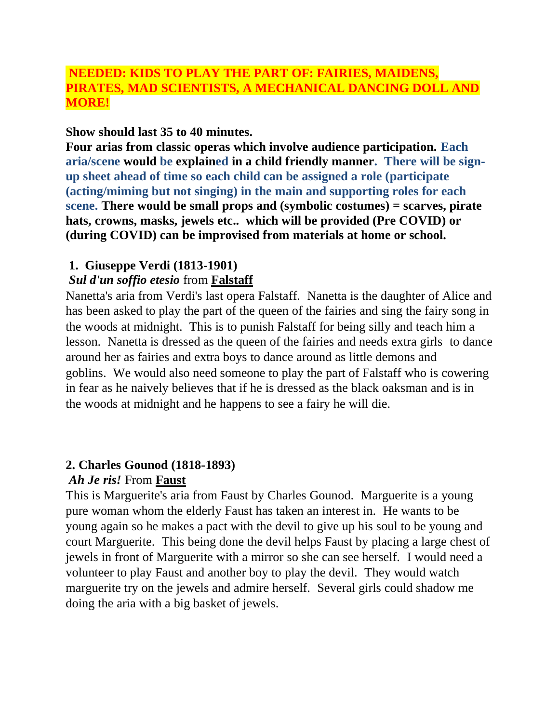## **NEEDED: KIDS TO PLAY THE PART OF: FAIRIES, MAIDENS, PIRATES, MAD SCIENTISTS, A MECHANICAL DANCING DOLL AND MORE!**

#### **Show should last 35 to 40 minutes.**

**Four arias from classic operas which involve audience participation. Each aria/scene would be explained in a child friendly manner. There will be signup sheet ahead of time so each child can be assigned a role (participate (acting/miming but not singing) in the main and supporting roles for each scene. There would be small props and (symbolic costumes) = scarves, pirate hats, crowns, masks, jewels etc.. which will be provided (Pre COVID) or (during COVID) can be improvised from materials at home or school.**

#### **1. Giuseppe Verdi (1813-1901)**

## *Sul d'un soffio etesio* from **Falstaff**

Nanetta's aria from Verdi's last opera Falstaff. Nanetta is the daughter of Alice and has been asked to play the part of the queen of the fairies and sing the fairy song in the woods at midnight. This is to punish Falstaff for being silly and teach him a lesson. Nanetta is dressed as the queen of the fairies and needs extra girls to dance around her as fairies and extra boys to dance around as little demons and goblins. We would also need someone to play the part of Falstaff who is cowering in fear as he naively believes that if he is dressed as the black oaksman and is in the woods at midnight and he happens to see a fairy he will die.

## **2. Charles Gounod (1818-1893)**

#### *Ah Je ris!* From **Faust**

This is Marguerite's aria from Faust by Charles Gounod. Marguerite is a young pure woman whom the elderly Faust has taken an interest in. He wants to be young again so he makes a pact with the devil to give up his soul to be young and court Marguerite. This being done the devil helps Faust by placing a large chest of jewels in front of Marguerite with a mirror so she can see herself. I would need a volunteer to play Faust and another boy to play the devil. They would watch marguerite try on the jewels and admire herself. Several girls could shadow me doing the aria with a big basket of jewels.